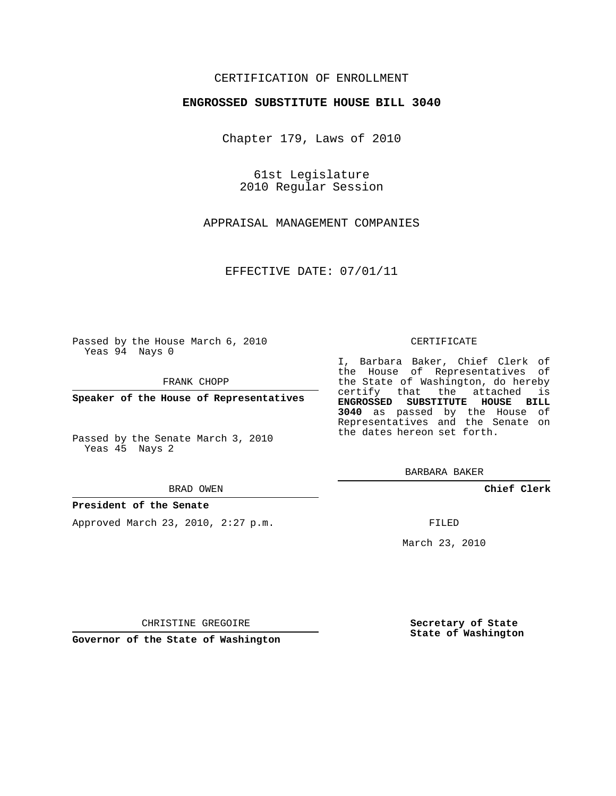### CERTIFICATION OF ENROLLMENT

### **ENGROSSED SUBSTITUTE HOUSE BILL 3040**

Chapter 179, Laws of 2010

61st Legislature 2010 Regular Session

APPRAISAL MANAGEMENT COMPANIES

EFFECTIVE DATE: 07/01/11

Passed by the House March 6, 2010 Yeas 94 Nays 0

FRANK CHOPP

**Speaker of the House of Representatives**

Passed by the Senate March 3, 2010 Yeas 45 Nays 2

#### BRAD OWEN

#### **President of the Senate**

Approved March 23, 2010, 2:27 p.m.

#### CERTIFICATE

I, Barbara Baker, Chief Clerk of the House of Representatives of the State of Washington, do hereby certify that the attached is **ENGROSSED SUBSTITUTE HOUSE BILL 3040** as passed by the House of Representatives and the Senate on the dates hereon set forth.

BARBARA BAKER

**Chief Clerk**

FILED

March 23, 2010

CHRISTINE GREGOIRE

**Governor of the State of Washington**

**Secretary of State State of Washington**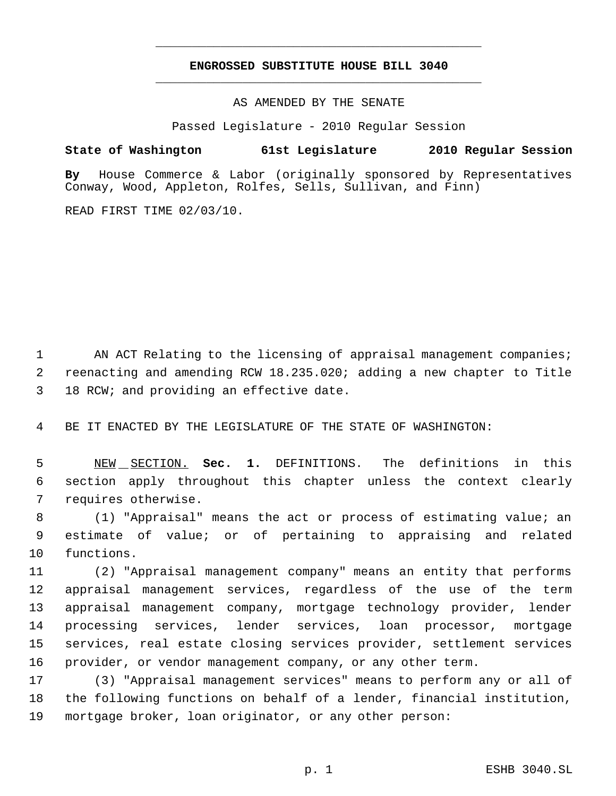# **ENGROSSED SUBSTITUTE HOUSE BILL 3040** \_\_\_\_\_\_\_\_\_\_\_\_\_\_\_\_\_\_\_\_\_\_\_\_\_\_\_\_\_\_\_\_\_\_\_\_\_\_\_\_\_\_\_\_\_

\_\_\_\_\_\_\_\_\_\_\_\_\_\_\_\_\_\_\_\_\_\_\_\_\_\_\_\_\_\_\_\_\_\_\_\_\_\_\_\_\_\_\_\_\_

AS AMENDED BY THE SENATE

Passed Legislature - 2010 Regular Session

## **State of Washington 61st Legislature 2010 Regular Session**

**By** House Commerce & Labor (originally sponsored by Representatives Conway, Wood, Appleton, Rolfes, Sells, Sullivan, and Finn)

READ FIRST TIME 02/03/10.

1 AN ACT Relating to the licensing of appraisal management companies; reenacting and amending RCW 18.235.020; adding a new chapter to Title 18 RCW; and providing an effective date.

BE IT ENACTED BY THE LEGISLATURE OF THE STATE OF WASHINGTON:

 NEW SECTION. **Sec. 1.** DEFINITIONS. The definitions in this section apply throughout this chapter unless the context clearly requires otherwise.

 (1) "Appraisal" means the act or process of estimating value; an estimate of value; or of pertaining to appraising and related functions.

 (2) "Appraisal management company" means an entity that performs appraisal management services, regardless of the use of the term appraisal management company, mortgage technology provider, lender processing services, lender services, loan processor, mortgage services, real estate closing services provider, settlement services provider, or vendor management company, or any other term.

 (3) "Appraisal management services" means to perform any or all of the following functions on behalf of a lender, financial institution, mortgage broker, loan originator, or any other person: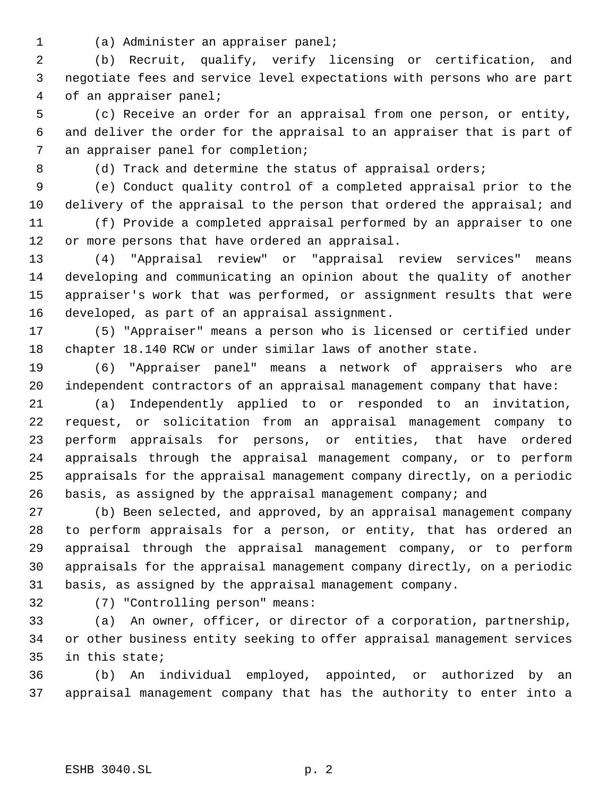(a) Administer an appraiser panel;

 (b) Recruit, qualify, verify licensing or certification, and negotiate fees and service level expectations with persons who are part of an appraiser panel;

 (c) Receive an order for an appraisal from one person, or entity, and deliver the order for the appraisal to an appraiser that is part of an appraiser panel for completion;

8 (d) Track and determine the status of appraisal orders;

 (e) Conduct quality control of a completed appraisal prior to the 10 delivery of the appraisal to the person that ordered the appraisal; and

 (f) Provide a completed appraisal performed by an appraiser to one or more persons that have ordered an appraisal.

 (4) "Appraisal review" or "appraisal review services" means developing and communicating an opinion about the quality of another appraiser's work that was performed, or assignment results that were developed, as part of an appraisal assignment.

 (5) "Appraiser" means a person who is licensed or certified under chapter 18.140 RCW or under similar laws of another state.

 (6) "Appraiser panel" means a network of appraisers who are independent contractors of an appraisal management company that have:

 (a) Independently applied to or responded to an invitation, request, or solicitation from an appraisal management company to perform appraisals for persons, or entities, that have ordered appraisals through the appraisal management company, or to perform appraisals for the appraisal management company directly, on a periodic basis, as assigned by the appraisal management company; and

 (b) Been selected, and approved, by an appraisal management company to perform appraisals for a person, or entity, that has ordered an appraisal through the appraisal management company, or to perform appraisals for the appraisal management company directly, on a periodic basis, as assigned by the appraisal management company.

(7) "Controlling person" means:

 (a) An owner, officer, or director of a corporation, partnership, or other business entity seeking to offer appraisal management services in this state;

 (b) An individual employed, appointed, or authorized by an appraisal management company that has the authority to enter into a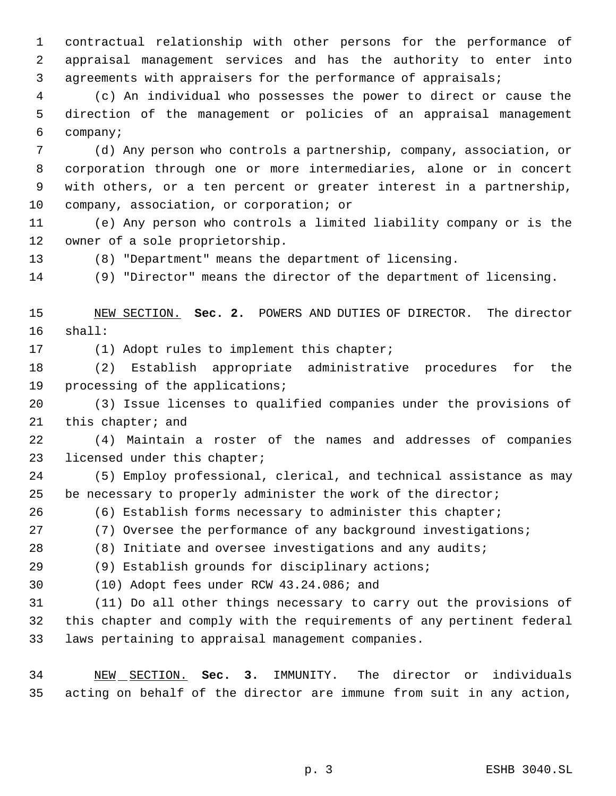contractual relationship with other persons for the performance of appraisal management services and has the authority to enter into agreements with appraisers for the performance of appraisals;

 (c) An individual who possesses the power to direct or cause the direction of the management or policies of an appraisal management company;

 (d) Any person who controls a partnership, company, association, or corporation through one or more intermediaries, alone or in concert with others, or a ten percent or greater interest in a partnership, company, association, or corporation; or

 (e) Any person who controls a limited liability company or is the owner of a sole proprietorship.

(8) "Department" means the department of licensing.

(9) "Director" means the director of the department of licensing.

 NEW SECTION. **Sec. 2.** POWERS AND DUTIES OF DIRECTOR. The director shall:

(1) Adopt rules to implement this chapter;

 (2) Establish appropriate administrative procedures for the processing of the applications;

 (3) Issue licenses to qualified companies under the provisions of this chapter; and

 (4) Maintain a roster of the names and addresses of companies licensed under this chapter;

 (5) Employ professional, clerical, and technical assistance as may be necessary to properly administer the work of the director;

(6) Establish forms necessary to administer this chapter;

(7) Oversee the performance of any background investigations;

(8) Initiate and oversee investigations and any audits;

(9) Establish grounds for disciplinary actions;

(10) Adopt fees under RCW 43.24.086; and

 (11) Do all other things necessary to carry out the provisions of this chapter and comply with the requirements of any pertinent federal laws pertaining to appraisal management companies.

 NEW SECTION. **Sec. 3.** IMMUNITY. The director or individuals acting on behalf of the director are immune from suit in any action,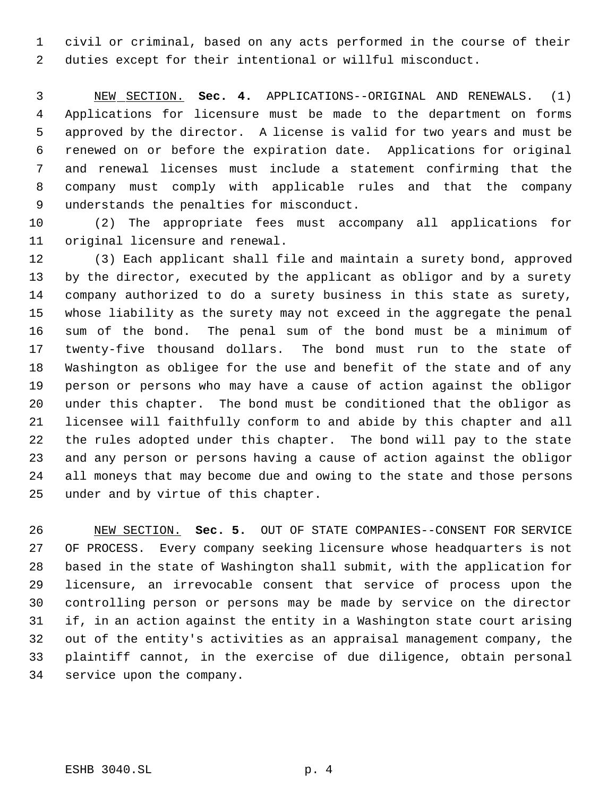civil or criminal, based on any acts performed in the course of their duties except for their intentional or willful misconduct.

 NEW SECTION. **Sec. 4.** APPLICATIONS--ORIGINAL AND RENEWALS. (1) Applications for licensure must be made to the department on forms approved by the director. A license is valid for two years and must be renewed on or before the expiration date. Applications for original and renewal licenses must include a statement confirming that the company must comply with applicable rules and that the company understands the penalties for misconduct.

 (2) The appropriate fees must accompany all applications for original licensure and renewal.

 (3) Each applicant shall file and maintain a surety bond, approved by the director, executed by the applicant as obligor and by a surety company authorized to do a surety business in this state as surety, whose liability as the surety may not exceed in the aggregate the penal sum of the bond. The penal sum of the bond must be a minimum of twenty-five thousand dollars. The bond must run to the state of Washington as obligee for the use and benefit of the state and of any person or persons who may have a cause of action against the obligor under this chapter. The bond must be conditioned that the obligor as licensee will faithfully conform to and abide by this chapter and all the rules adopted under this chapter. The bond will pay to the state and any person or persons having a cause of action against the obligor all moneys that may become due and owing to the state and those persons under and by virtue of this chapter.

 NEW SECTION. **Sec. 5.** OUT OF STATE COMPANIES--CONSENT FOR SERVICE OF PROCESS. Every company seeking licensure whose headquarters is not based in the state of Washington shall submit, with the application for licensure, an irrevocable consent that service of process upon the controlling person or persons may be made by service on the director if, in an action against the entity in a Washington state court arising out of the entity's activities as an appraisal management company, the plaintiff cannot, in the exercise of due diligence, obtain personal service upon the company.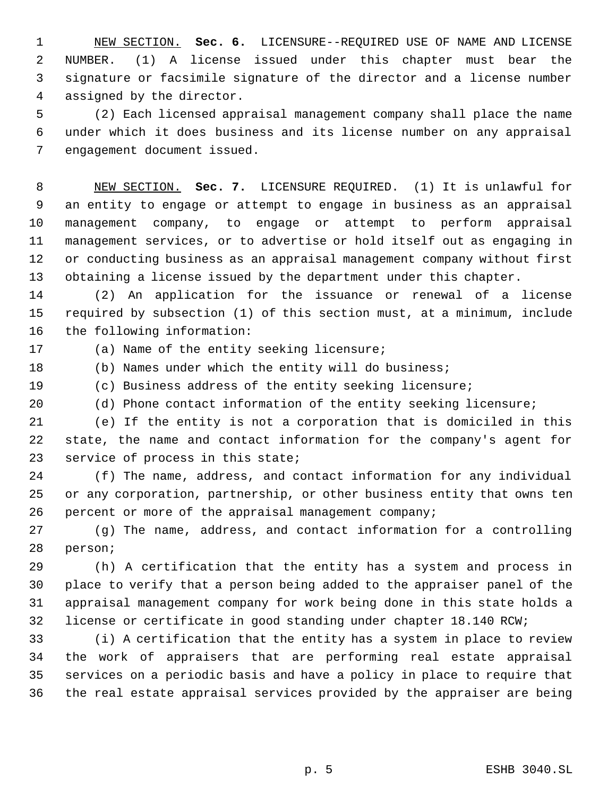NEW SECTION. **Sec. 6.** LICENSURE--REQUIRED USE OF NAME AND LICENSE NUMBER. (1) A license issued under this chapter must bear the signature or facsimile signature of the director and a license number assigned by the director.

 (2) Each licensed appraisal management company shall place the name under which it does business and its license number on any appraisal engagement document issued.

 NEW SECTION. **Sec. 7.** LICENSURE REQUIRED. (1) It is unlawful for an entity to engage or attempt to engage in business as an appraisal management company, to engage or attempt to perform appraisal management services, or to advertise or hold itself out as engaging in or conducting business as an appraisal management company without first obtaining a license issued by the department under this chapter.

 (2) An application for the issuance or renewal of a license required by subsection (1) of this section must, at a minimum, include the following information:

(a) Name of the entity seeking licensure;

(b) Names under which the entity will do business;

(c) Business address of the entity seeking licensure;

(d) Phone contact information of the entity seeking licensure;

 (e) If the entity is not a corporation that is domiciled in this state, the name and contact information for the company's agent for service of process in this state;

 (f) The name, address, and contact information for any individual or any corporation, partnership, or other business entity that owns ten percent or more of the appraisal management company;

 (g) The name, address, and contact information for a controlling person;

 (h) A certification that the entity has a system and process in place to verify that a person being added to the appraiser panel of the appraisal management company for work being done in this state holds a license or certificate in good standing under chapter 18.140 RCW;

 (i) A certification that the entity has a system in place to review the work of appraisers that are performing real estate appraisal services on a periodic basis and have a policy in place to require that the real estate appraisal services provided by the appraiser are being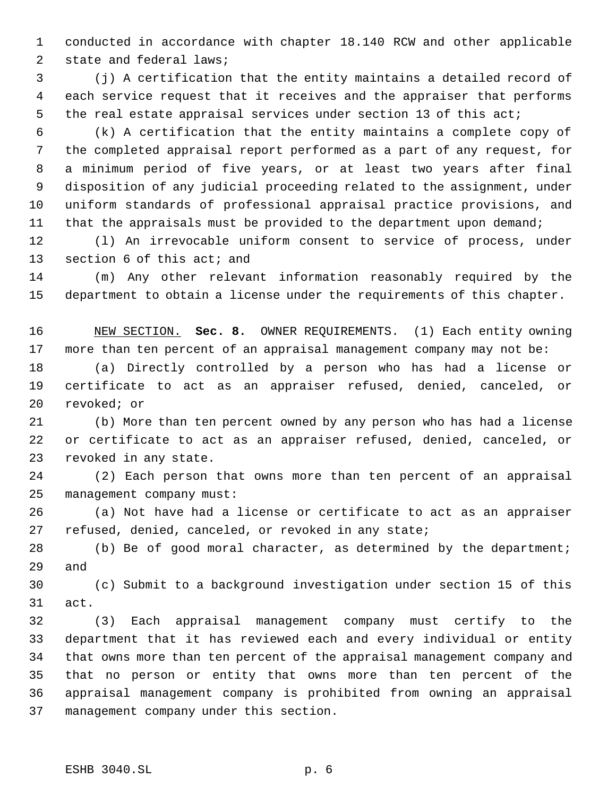conducted in accordance with chapter 18.140 RCW and other applicable state and federal laws;

 (j) A certification that the entity maintains a detailed record of each service request that it receives and the appraiser that performs the real estate appraisal services under section 13 of this act;

 (k) A certification that the entity maintains a complete copy of the completed appraisal report performed as a part of any request, for a minimum period of five years, or at least two years after final disposition of any judicial proceeding related to the assignment, under uniform standards of professional appraisal practice provisions, and 11 that the appraisals must be provided to the department upon demand;

 (l) An irrevocable uniform consent to service of process, under section 6 of this act; and

 (m) Any other relevant information reasonably required by the department to obtain a license under the requirements of this chapter.

 NEW SECTION. **Sec. 8.** OWNER REQUIREMENTS. (1) Each entity owning more than ten percent of an appraisal management company may not be:

 (a) Directly controlled by a person who has had a license or certificate to act as an appraiser refused, denied, canceled, or revoked; or

 (b) More than ten percent owned by any person who has had a license or certificate to act as an appraiser refused, denied, canceled, or revoked in any state.

 (2) Each person that owns more than ten percent of an appraisal management company must:

 (a) Not have had a license or certificate to act as an appraiser refused, denied, canceled, or revoked in any state;

 (b) Be of good moral character, as determined by the department; and

 (c) Submit to a background investigation under section 15 of this act.

 (3) Each appraisal management company must certify to the department that it has reviewed each and every individual or entity that owns more than ten percent of the appraisal management company and that no person or entity that owns more than ten percent of the appraisal management company is prohibited from owning an appraisal management company under this section.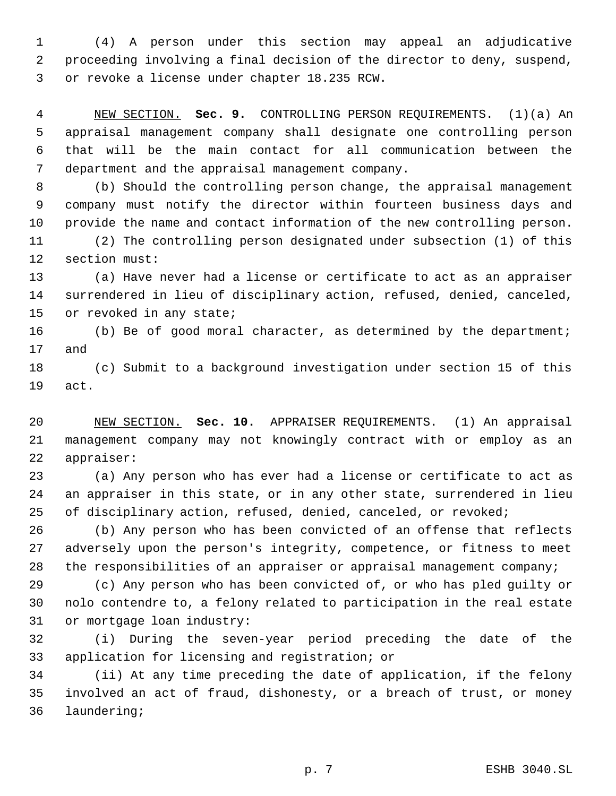(4) A person under this section may appeal an adjudicative proceeding involving a final decision of the director to deny, suspend, or revoke a license under chapter 18.235 RCW.

 NEW SECTION. **Sec. 9.** CONTROLLING PERSON REQUIREMENTS. (1)(a) An appraisal management company shall designate one controlling person that will be the main contact for all communication between the department and the appraisal management company.

 (b) Should the controlling person change, the appraisal management company must notify the director within fourteen business days and provide the name and contact information of the new controlling person. (2) The controlling person designated under subsection (1) of this

section must:

 (a) Have never had a license or certificate to act as an appraiser surrendered in lieu of disciplinary action, refused, denied, canceled, 15 or revoked in any state;

 (b) Be of good moral character, as determined by the department; and

 (c) Submit to a background investigation under section 15 of this act.

 NEW SECTION. **Sec. 10.** APPRAISER REQUIREMENTS. (1) An appraisal management company may not knowingly contract with or employ as an appraiser:

 (a) Any person who has ever had a license or certificate to act as an appraiser in this state, or in any other state, surrendered in lieu of disciplinary action, refused, denied, canceled, or revoked;

 (b) Any person who has been convicted of an offense that reflects adversely upon the person's integrity, competence, or fitness to meet 28 the responsibilities of an appraiser or appraisal management company;

 (c) Any person who has been convicted of, or who has pled guilty or nolo contendre to, a felony related to participation in the real estate or mortgage loan industry:

 (i) During the seven-year period preceding the date of the application for licensing and registration; or

 (ii) At any time preceding the date of application, if the felony involved an act of fraud, dishonesty, or a breach of trust, or money laundering;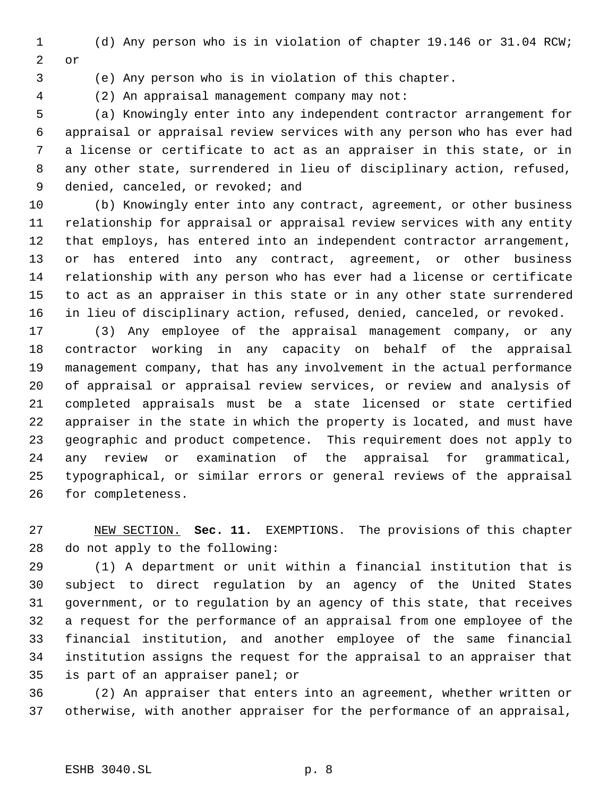(d) Any person who is in violation of chapter 19.146 or 31.04 RCW; or

(e) Any person who is in violation of this chapter.

(2) An appraisal management company may not:

 (a) Knowingly enter into any independent contractor arrangement for appraisal or appraisal review services with any person who has ever had a license or certificate to act as an appraiser in this state, or in any other state, surrendered in lieu of disciplinary action, refused, 9 denied, canceled, or revoked; and

 (b) Knowingly enter into any contract, agreement, or other business relationship for appraisal or appraisal review services with any entity that employs, has entered into an independent contractor arrangement, or has entered into any contract, agreement, or other business relationship with any person who has ever had a license or certificate to act as an appraiser in this state or in any other state surrendered in lieu of disciplinary action, refused, denied, canceled, or revoked.

 (3) Any employee of the appraisal management company, or any contractor working in any capacity on behalf of the appraisal management company, that has any involvement in the actual performance of appraisal or appraisal review services, or review and analysis of completed appraisals must be a state licensed or state certified appraiser in the state in which the property is located, and must have geographic and product competence. This requirement does not apply to any review or examination of the appraisal for grammatical, typographical, or similar errors or general reviews of the appraisal for completeness.

 NEW SECTION. **Sec. 11.** EXEMPTIONS. The provisions of this chapter do not apply to the following:

 (1) A department or unit within a financial institution that is subject to direct regulation by an agency of the United States government, or to regulation by an agency of this state, that receives a request for the performance of an appraisal from one employee of the financial institution, and another employee of the same financial institution assigns the request for the appraisal to an appraiser that is part of an appraiser panel; or

 (2) An appraiser that enters into an agreement, whether written or otherwise, with another appraiser for the performance of an appraisal,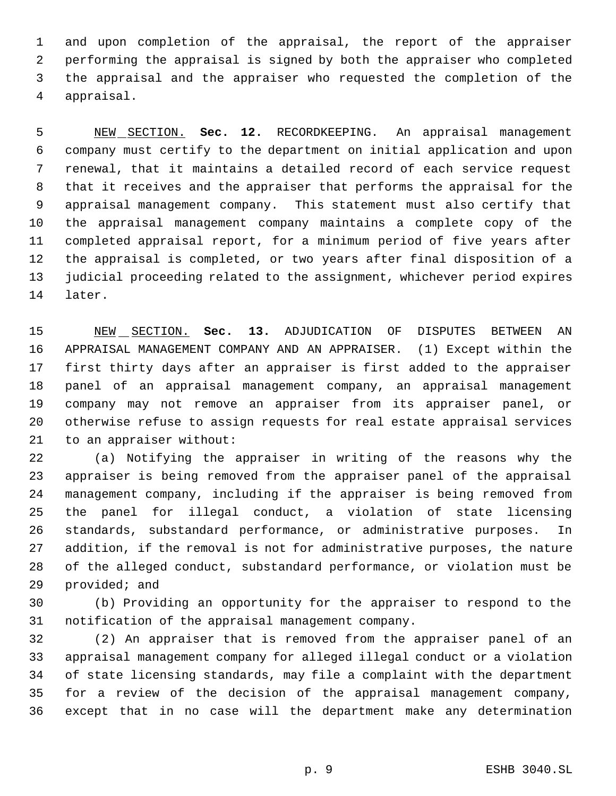and upon completion of the appraisal, the report of the appraiser performing the appraisal is signed by both the appraiser who completed the appraisal and the appraiser who requested the completion of the appraisal.

 NEW SECTION. **Sec. 12.** RECORDKEEPING. An appraisal management company must certify to the department on initial application and upon renewal, that it maintains a detailed record of each service request that it receives and the appraiser that performs the appraisal for the appraisal management company. This statement must also certify that the appraisal management company maintains a complete copy of the completed appraisal report, for a minimum period of five years after the appraisal is completed, or two years after final disposition of a judicial proceeding related to the assignment, whichever period expires later.

 NEW SECTION. **Sec. 13.** ADJUDICATION OF DISPUTES BETWEEN AN APPRAISAL MANAGEMENT COMPANY AND AN APPRAISER. (1) Except within the first thirty days after an appraiser is first added to the appraiser panel of an appraisal management company, an appraisal management company may not remove an appraiser from its appraiser panel, or otherwise refuse to assign requests for real estate appraisal services to an appraiser without:

 (a) Notifying the appraiser in writing of the reasons why the appraiser is being removed from the appraiser panel of the appraisal management company, including if the appraiser is being removed from the panel for illegal conduct, a violation of state licensing standards, substandard performance, or administrative purposes. In addition, if the removal is not for administrative purposes, the nature of the alleged conduct, substandard performance, or violation must be provided; and

 (b) Providing an opportunity for the appraiser to respond to the notification of the appraisal management company.

 (2) An appraiser that is removed from the appraiser panel of an appraisal management company for alleged illegal conduct or a violation of state licensing standards, may file a complaint with the department for a review of the decision of the appraisal management company, except that in no case will the department make any determination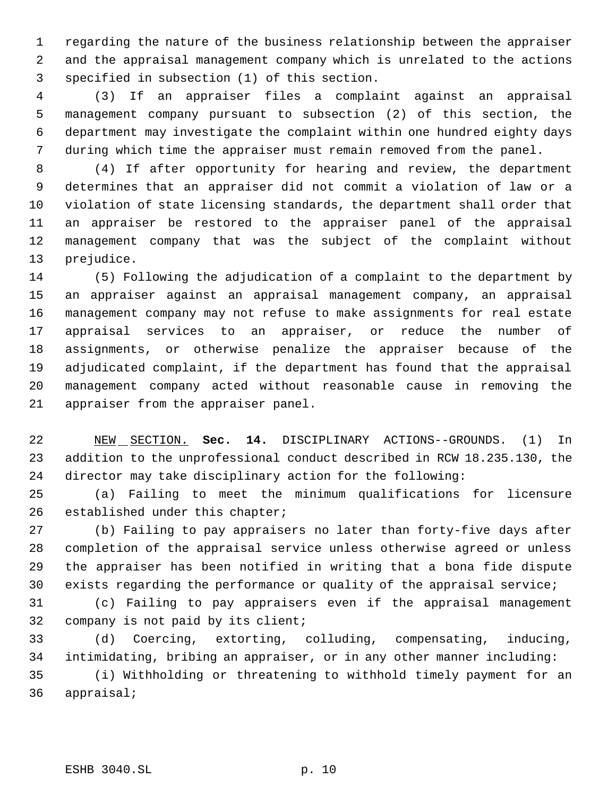regarding the nature of the business relationship between the appraiser and the appraisal management company which is unrelated to the actions specified in subsection (1) of this section.

 (3) If an appraiser files a complaint against an appraisal management company pursuant to subsection (2) of this section, the department may investigate the complaint within one hundred eighty days during which time the appraiser must remain removed from the panel.

 (4) If after opportunity for hearing and review, the department determines that an appraiser did not commit a violation of law or a violation of state licensing standards, the department shall order that an appraiser be restored to the appraiser panel of the appraisal management company that was the subject of the complaint without prejudice.

 (5) Following the adjudication of a complaint to the department by an appraiser against an appraisal management company, an appraisal management company may not refuse to make assignments for real estate appraisal services to an appraiser, or reduce the number of assignments, or otherwise penalize the appraiser because of the adjudicated complaint, if the department has found that the appraisal management company acted without reasonable cause in removing the appraiser from the appraiser panel.

 NEW SECTION. **Sec. 14.** DISCIPLINARY ACTIONS--GROUNDS. (1) In addition to the unprofessional conduct described in RCW 18.235.130, the director may take disciplinary action for the following:

 (a) Failing to meet the minimum qualifications for licensure established under this chapter;

 (b) Failing to pay appraisers no later than forty-five days after completion of the appraisal service unless otherwise agreed or unless the appraiser has been notified in writing that a bona fide dispute exists regarding the performance or quality of the appraisal service;

 (c) Failing to pay appraisers even if the appraisal management company is not paid by its client;

 (d) Coercing, extorting, colluding, compensating, inducing, intimidating, bribing an appraiser, or in any other manner including:

 (i) Withholding or threatening to withhold timely payment for an appraisal;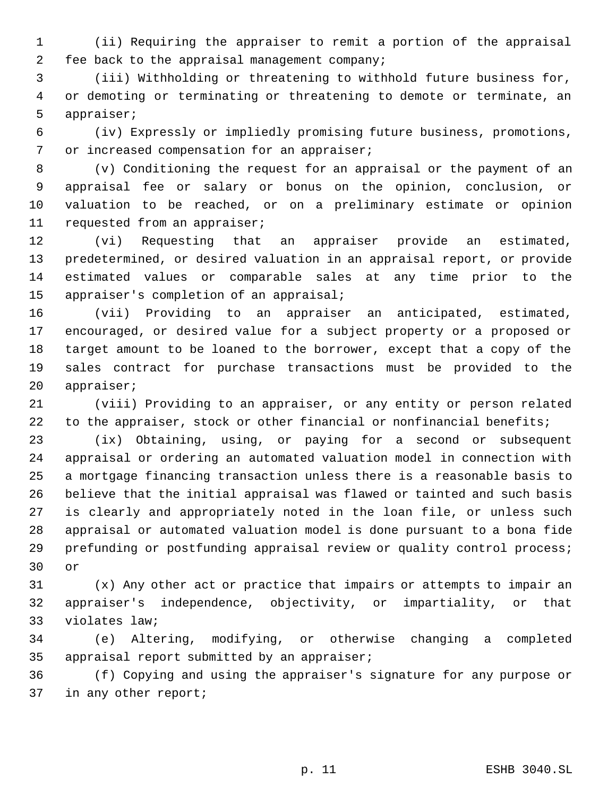(ii) Requiring the appraiser to remit a portion of the appraisal fee back to the appraisal management company;

 (iii) Withholding or threatening to withhold future business for, or demoting or terminating or threatening to demote or terminate, an appraiser;

 (iv) Expressly or impliedly promising future business, promotions, 7 or increased compensation for an appraiser;

 (v) Conditioning the request for an appraisal or the payment of an appraisal fee or salary or bonus on the opinion, conclusion, or valuation to be reached, or on a preliminary estimate or opinion requested from an appraiser;

 (vi) Requesting that an appraiser provide an estimated, predetermined, or desired valuation in an appraisal report, or provide estimated values or comparable sales at any time prior to the appraiser's completion of an appraisal;

 (vii) Providing to an appraiser an anticipated, estimated, encouraged, or desired value for a subject property or a proposed or target amount to be loaned to the borrower, except that a copy of the sales contract for purchase transactions must be provided to the appraiser;

 (viii) Providing to an appraiser, or any entity or person related 22 to the appraiser, stock or other financial or nonfinancial benefits;

 (ix) Obtaining, using, or paying for a second or subsequent appraisal or ordering an automated valuation model in connection with a mortgage financing transaction unless there is a reasonable basis to believe that the initial appraisal was flawed or tainted and such basis is clearly and appropriately noted in the loan file, or unless such appraisal or automated valuation model is done pursuant to a bona fide prefunding or postfunding appraisal review or quality control process; or

 (x) Any other act or practice that impairs or attempts to impair an appraiser's independence, objectivity, or impartiality, or that violates law;

 (e) Altering, modifying, or otherwise changing a completed appraisal report submitted by an appraiser;

 (f) Copying and using the appraiser's signature for any purpose or in any other report;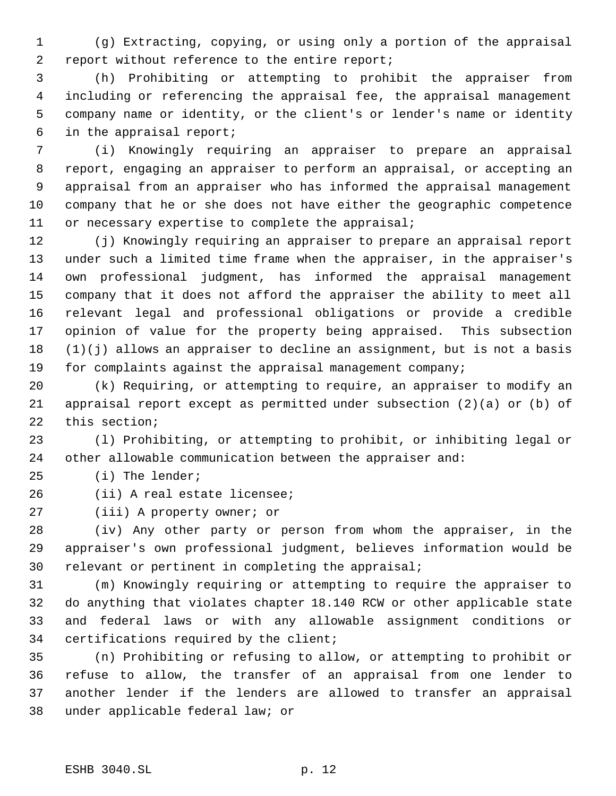(g) Extracting, copying, or using only a portion of the appraisal report without reference to the entire report;

 (h) Prohibiting or attempting to prohibit the appraiser from including or referencing the appraisal fee, the appraisal management company name or identity, or the client's or lender's name or identity in the appraisal report;

 (i) Knowingly requiring an appraiser to prepare an appraisal report, engaging an appraiser to perform an appraisal, or accepting an appraisal from an appraiser who has informed the appraisal management company that he or she does not have either the geographic competence or necessary expertise to complete the appraisal;

 (j) Knowingly requiring an appraiser to prepare an appraisal report under such a limited time frame when the appraiser, in the appraiser's own professional judgment, has informed the appraisal management company that it does not afford the appraiser the ability to meet all relevant legal and professional obligations or provide a credible opinion of value for the property being appraised. This subsection (1)(j) allows an appraiser to decline an assignment, but is not a basis for complaints against the appraisal management company;

 (k) Requiring, or attempting to require, an appraiser to modify an appraisal report except as permitted under subsection (2)(a) or (b) of this section;

 (l) Prohibiting, or attempting to prohibit, or inhibiting legal or other allowable communication between the appraiser and:

(i) The lender;

(ii) A real estate licensee;

(iii) A property owner; or

 (iv) Any other party or person from whom the appraiser, in the appraiser's own professional judgment, believes information would be relevant or pertinent in completing the appraisal;

 (m) Knowingly requiring or attempting to require the appraiser to do anything that violates chapter 18.140 RCW or other applicable state and federal laws or with any allowable assignment conditions or certifications required by the client;

 (n) Prohibiting or refusing to allow, or attempting to prohibit or refuse to allow, the transfer of an appraisal from one lender to another lender if the lenders are allowed to transfer an appraisal under applicable federal law; or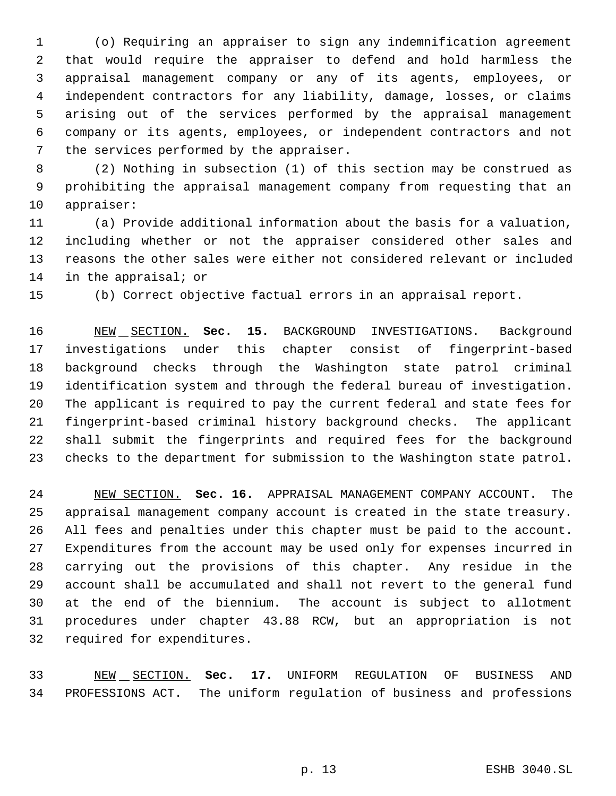(o) Requiring an appraiser to sign any indemnification agreement that would require the appraiser to defend and hold harmless the appraisal management company or any of its agents, employees, or independent contractors for any liability, damage, losses, or claims arising out of the services performed by the appraisal management company or its agents, employees, or independent contractors and not the services performed by the appraiser.

 (2) Nothing in subsection (1) of this section may be construed as prohibiting the appraisal management company from requesting that an appraiser:

 (a) Provide additional information about the basis for a valuation, including whether or not the appraiser considered other sales and reasons the other sales were either not considered relevant or included in the appraisal; or

(b) Correct objective factual errors in an appraisal report.

 NEW SECTION. **Sec. 15.** BACKGROUND INVESTIGATIONS. Background investigations under this chapter consist of fingerprint-based background checks through the Washington state patrol criminal identification system and through the federal bureau of investigation. The applicant is required to pay the current federal and state fees for fingerprint-based criminal history background checks. The applicant shall submit the fingerprints and required fees for the background checks to the department for submission to the Washington state patrol.

 NEW SECTION. **Sec. 16.** APPRAISAL MANAGEMENT COMPANY ACCOUNT. The appraisal management company account is created in the state treasury. All fees and penalties under this chapter must be paid to the account. Expenditures from the account may be used only for expenses incurred in carrying out the provisions of this chapter. Any residue in the account shall be accumulated and shall not revert to the general fund at the end of the biennium. The account is subject to allotment procedures under chapter 43.88 RCW, but an appropriation is not required for expenditures.

 NEW SECTION. **Sec. 17.** UNIFORM REGULATION OF BUSINESS AND PROFESSIONS ACT. The uniform regulation of business and professions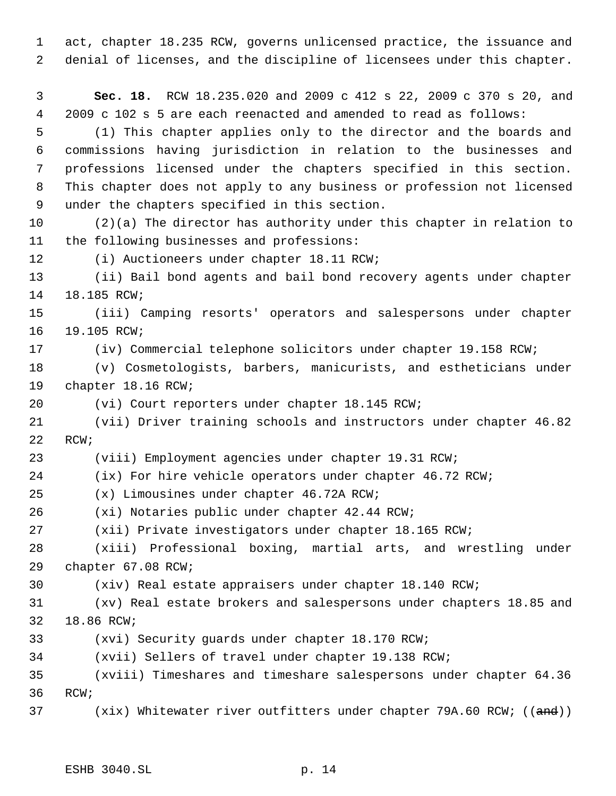act, chapter 18.235 RCW, governs unlicensed practice, the issuance and denial of licenses, and the discipline of licensees under this chapter.

 **Sec. 18.** RCW 18.235.020 and 2009 c 412 s 22, 2009 c 370 s 20, and 2009 c 102 s 5 are each reenacted and amended to read as follows:

 (1) This chapter applies only to the director and the boards and commissions having jurisdiction in relation to the businesses and professions licensed under the chapters specified in this section. This chapter does not apply to any business or profession not licensed under the chapters specified in this section.

 (2)(a) The director has authority under this chapter in relation to the following businesses and professions:

(i) Auctioneers under chapter 18.11 RCW;

 (ii) Bail bond agents and bail bond recovery agents under chapter 18.185 RCW;

 (iii) Camping resorts' operators and salespersons under chapter 19.105 RCW;

(iv) Commercial telephone solicitors under chapter 19.158 RCW;

 (v) Cosmetologists, barbers, manicurists, and estheticians under chapter 18.16 RCW;

(vi) Court reporters under chapter 18.145 RCW;

 (vii) Driver training schools and instructors under chapter 46.82 RCW;

(viii) Employment agencies under chapter 19.31 RCW;

(ix) For hire vehicle operators under chapter 46.72 RCW;

(x) Limousines under chapter 46.72A RCW;

(xi) Notaries public under chapter 42.44 RCW;

(xii) Private investigators under chapter 18.165 RCW;

 (xiii) Professional boxing, martial arts, and wrestling under chapter 67.08 RCW;

(xiv) Real estate appraisers under chapter 18.140 RCW;

 (xv) Real estate brokers and salespersons under chapters 18.85 and 18.86 RCW;

(xvi) Security guards under chapter 18.170 RCW;

(xvii) Sellers of travel under chapter 19.138 RCW;

 (xviii) Timeshares and timeshare salespersons under chapter 64.36 RCW;

37 (xix) Whitewater river outfitters under chapter 79A.60 RCW; ((and))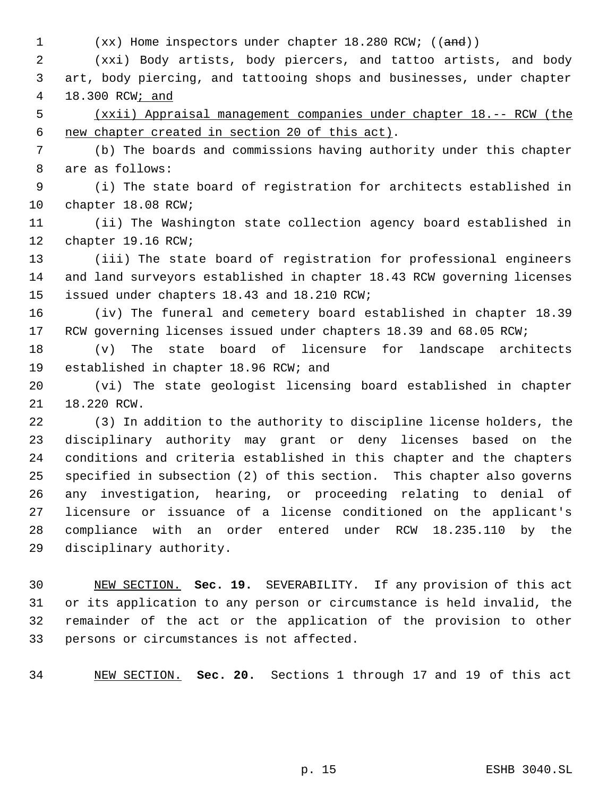1 (xx) Home inspectors under chapter 18.280 RCW; ((and))

 (xxi) Body artists, body piercers, and tattoo artists, and body art, body piercing, and tattooing shops and businesses, under chapter 18.300 RCW; and

 (xxii) Appraisal management companies under chapter 18.-- RCW (the new chapter created in section 20 of this act).

 (b) The boards and commissions having authority under this chapter are as follows:

 (i) The state board of registration for architects established in chapter 18.08 RCW;

 (ii) The Washington state collection agency board established in chapter 19.16 RCW;

 (iii) The state board of registration for professional engineers and land surveyors established in chapter 18.43 RCW governing licenses issued under chapters 18.43 and 18.210 RCW;

 (iv) The funeral and cemetery board established in chapter 18.39 17 RCW governing licenses issued under chapters 18.39 and 68.05 RCW;

 (v) The state board of licensure for landscape architects established in chapter 18.96 RCW; and

 (vi) The state geologist licensing board established in chapter 18.220 RCW.

 (3) In addition to the authority to discipline license holders, the disciplinary authority may grant or deny licenses based on the conditions and criteria established in this chapter and the chapters specified in subsection (2) of this section. This chapter also governs any investigation, hearing, or proceeding relating to denial of licensure or issuance of a license conditioned on the applicant's compliance with an order entered under RCW 18.235.110 by the disciplinary authority.

 NEW SECTION. **Sec. 19.** SEVERABILITY. If any provision of this act or its application to any person or circumstance is held invalid, the remainder of the act or the application of the provision to other persons or circumstances is not affected.

NEW SECTION. **Sec. 20.** Sections 1 through 17 and 19 of this act